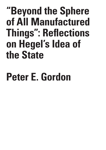**"Beyond the Sphere of All Manufactured Things": Reflections on Hegel's Idea of the State**

## **Peter E. Gordon**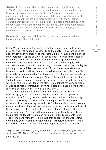**Abstract:** This essay offers a brief comment on Hegel's *Philosophy of Right*, with special emphasis on Hegel's claim that we must regard the state as divine and its constitution as "beyond the sphere of all manufactured things." This conception of the state is contrasted with social contract theorists and, more specifically, with the so-called "maker's knowledge" principle as it was formulated by thinkers such as Hobbes, Vico, and Marx. The paper argues that Marx's particular version of this principle offers a welcome alternative Hegel's metaphysical conception of the state as "divine."

**Keywords:** Hegel, Marx, Hobbes, Vico, constitution, state, maker's knowledge, political philosophy

In the *Philosophy of Right,* Hegel writes that our political institutions are endowed with "absolute authority and majesty."1 The state does not appear with all of its imperfections, rather, it is portrayed as the highest manifestation of spirit, or *Geist*. Because Hegel is chiefly interested in rational analysis and not in merely empirical description, he thinks it should be possible for us to examine the state as a thoroughly realized and rational structure, without troubling ourselves to an excessive degree with any of the deficiencies that have afflicted the various states as they are known to us through history. Just as even "the ugliest man" is nonetheless "a human being," so too any empirical state is nonetheless the embodiment of divine purpose: "The state consists in the march of God in the world, and its basis is the power of reason actualizing itself as will. In considering the Idea of the state, we must not have any particular states or particular institutions in mind; instead we should consider the Idea, this actual God, in its own right [*für sich*]."2

On the special occasion of the 200<sup>th</sup> anniversary of Hegel's *Philosophy of Right* it may seem inappropriate of me to begin on a skeptical note. But anyone who reads this landmark text in the history of philosophy today cannot avoid a simple question: how are we to understand, let alone accept as valid, its fundamental and unmistakable commitment to such an extravagant metaphysics? It is this metaphysical theme above all others that tests the limits of understanding Hegel's philosophy today. And this is the case not only for the interpretation of his political philosophy. Consider, for instance, the fundamental idea of epistemic and metaphysical closure that appears in the well-known concluding section of the *Phenomenology,* "Absolute Knowing," where we learn that once *Geist* has passed through the agonies of its own

1 Hegel, *Elements of the Philosophy of Right.* Allen W. Wood, ed. H.B. Nisbet, trans. (Cambridge University Press, 1991), §258; p. 277. All quotations are to this edition, hereafter abbreviated as PR.

2 PR § 258, p. 279.

57

"Beyond the Sphere of All Manufactured Things"...

S I S & C R I T  $\mathbf{I}$ Q U E / Volume 8

Issue 2

C R I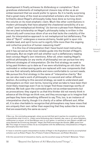development it finally achieves its *Vollendung* or completion.3 Such grandiose statements of metaphysical closure may strike us as an embarrassment that we would prefer to ignore. So it is hardly surprising that a great many of the most accomplished scholars who have written brilliantly about Hegel's philosophy today have done so turning down the volume on its most emphatic claim. Much like other contributions in modern philosophy that have adopted the chastened sensibility of a socalled "post-metaphysical thinking" (to borrow a phrase from Habermas), the very best scholarship on Hegel's philosophy today is written in the historically self-conscious idiom of an era that lacks the credulity of the past. Its interpretative approach is not metaphysical but deflationary. The idea of "Spirit" undergoes a reverse alchemy, feudal gold is spun into reliable lead, and spirit turns out to signify little more than the ongoing and collective practice of human reasoning itself.4

It is this line of interpretation that I have found most instructive, and it has served as the most reliable guide into the thicket of Hegel's philosophy. But we might still ask whether such a deflationary reading best conveys Hegel's own intentions. After all, when reading Hegel's political philosophy (or *any* works of philosophy) we can pursue two very different strategies of interpretation. On the first strategy we seek to bring past thinkers up to date as if we were refurbishing an old chair: the outmoded or embarrassing parts are replaced with new components that we now find rationally defensible and more comfortable to current needs. We pursue this first strategy in the name of "interpretive charity." But we can also read a work of philosophy in a second and rather different fashion. According to this second strategy, we seek to understand past philosophers on their own terms, honoring what we take to have been their most likely meanings even if we no longer find those meanings worthy of defense. We look upon the outmoded parts not as embarrassments but as provocations: they signal to us that this thinker did not merely think in advance all the things we think now, and they encourage us to imagine that perhaps they have something different to say. This, too, is an instance of interpretative charity, though it is charity of a rather different sort. After all, it is also charitable to recognize that philosophers may have views that are uniquely their own rather than expecting that they subscribe to views that are essentially the same as ours.<sup>5</sup>

5 On this second kind of interpretive charity, see the excellent essay by Yitzhak Y. Melamed, "Chari-

"Beyond the Sphere of All Manufactured Things"...

I T  $\mathbf{I}$ Q U E / Volume 8

C R I S I S & C R

Issue 2

<sup>3</sup> See, e.g., the concluding paragraph, where we are told that spirit reaches its *completion* and fully comprehends what it truly is: "Indem seine Vollendung darin besteht, das, was *er ist*, seine Substanz, vollkommen zu *wissen*, so ist dies Wissen sein *In-sich-gehen*, in welchem er sein Dasein verläßt und seine Gestalt der Erinnerung übergibt." Hegel, *Die Phänomenologie des Geistes,* §808; quote from 592. This image of closure strikes me as incompatible with the deflationary interpretations of Hegel's philosophy described below.

<sup>4</sup> I have in mind the superb interpretative studies of Hegel in the Anglophone world by accomplished scholars such as Robert Pippin, Terry Pinkard, Frederick Neuhouser, and Robert Brandom.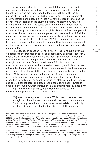My own understanding of Hegel is not deflationary. Provoked if not even a bit embarrassed by his metaphysics, I nonetheless feel I must take him as his word when he declares that the state is "the march of God in the world." In what follows, I want to explore some of the implications of Hegel's claim that we should regard the state as the highest manifestation of the divine on earth. The claim may very well strike us as intolerable if we pause even for a moment to consider the extraordinary violence that states have visited both upon one another and upon stateless populations across the globe. But even if we disregard all questions of inter-state warfare and persecution we should still find the claim provocative, not least when we examine his remarks on the nature and genesis of political constitutions (§273). I wish to use those remarks to explore some of the further implications of Hegel's metaphysics and to explain why the chasm between Hegel's time and our own may be nearly insuperable.

The passage in question is one in which Hegel lays out his various objections to the tradition of social contract theory, a political theory that sees the state as a thoroughly human artifact, a compact or "covenant" that was brought into being *ex nihilo* at a particular time and place through a discrete act of collective decision.6 For the social contract theorist, a constitution is neither sacred nor natural; it is little more than a formalization and elaboration of the procedures to which all signatories of the contract must agree if the state they have made will endure into the future. Citizens may continue to dispute specific matters of policy, but even in the midst of their disagreement they must leave intact the basic procedural structure of the constitution as the stable groundwork for any and all political deliberations. Despite this stability the constitution is seen as a thoroughly *human* institution: *it is something made and not given.*

In §273 of the *Philosophy of Right* Hegel responds to this contractualist principle with a pointed question:

[W]ho *is to draw up the constitution*? This question seems clear enough, but closer inspection at once shows that it is nonsensical. For it presupposes that no constitution as yet exists, so that only an atomistic *aggregate* of individuals is present. How such an

 $\cup$ E / Volume 8

C R I S I S & C R I T I  $\Omega$ 

Issue 2

table Interpretations and the Political Domestication of Spinoza, or, Benedict in the Land of the Secular Imagination," in Laerke et al. eds. *Philosophy and its History* (Oxford University Press, 2012): 258-277. For a critical perspective on Melamed's argument, see Eric Schliesser, "Interpreting Spinoza: Critical Essays (Review)" *British Journal for the History of Philosophy* 19, 4 (2011): 822-826. For general remarks on the methodological challenges of interpreting past philosophers, see Martin Jay, "Impudent Claims and Loathsome Questions: Intellectual History as Judgment of the Past," in Jay, *Genesis and Validity: The Theory and Practice of Intellectual History.* (Penn Press, 2022), 28-33.

<sup>6</sup> For an excellent explanation of Hegel's critique of social contract theory and a defense of Hegel's characterization of the state as divine, see Frederick Neuhouser, *Foundations of Hegel's Social Theory: Actualizing Freedom* (Cambridge, Mass: Harvard University Press, 200), esp. Ch. 6, "Hegel's Social Theory and Methodological Atomism," pp.175-224.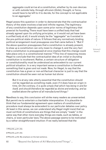aggregate could arrive at a constitution, whether by its own devices or with outside help, through altruism (*Güte*), thought, or force, would have to be left to it to decide, for the concept is not applicable to an aggregate.<sup>7</sup>

Hegel poses this question in order to demonstrate that the contractualist theory of the state involves a bad and infinite regress. The legitimacy of any constitution depends upon some prior norms of legitimacy that preexist its founding. There must have been a unified body that had already agreed upon its unifying principles, or it would not yet have been a unified body at all; it would simply be the "aggregate" as it existed in the pre-political state of nature. It follows that any normatively binding political arrangement must presuppose one that came before it. "But if the above question presupposes that a constitution is already present, *to draw up* a constitution can only mean to change it, and the very fact that a constitution is presupposed at once implies that this change could take place only in a constitutional manner."8 This line of reasoning moves Hegel to conclude that the contractualist idea of an *initial* or *founding*  constitution is incoherent. Rather, a certain structure of obligation or constitutionality must be understood as antecedent to our current political situation. In a very important sense a constitution is therefore something that is *given and not made*. Now, for Hegel, to say that the constitution has a given or non-artifactual character is just to say that the constitution should be seen not as human but *divine*:

But it is at any rate utterly essential that the constitution should *not* be regarded as *something made*, even if it does have an origin in time. *On the contrary, it is quite simply that which has being in and for itself, and should therefore be regarded as divine and enduring, and as exalted above the sphere of all manufactured things*. 9

Needless to say, this conclusion will strike many readers as unwarranted. But permit me to entertain a charitable interpretation. It is plausible to think that our fundamental agreement upon matters of constitutional procedure must always be antecedent to our particular debates over policy. At least in this sense, we can understand why Hegel might insist that we must *not* think of constitutions are things that are simply "made" in the same way that other more everyday things are made, such as tables, or chairs, or even particular laws. The above passage seems to be motivated by a rather straightforward intuition: If we really believed that the

7 PR § 273, p.311-312.

8 PR § 273, p.311-312.

9 PR § 273, p.312. My emphasis on the last sentence.

60 "Beyond the Sphere of All Manufactured Things"...

C R  $\mathbf{I}$ S I S & C R I T  $\mathbf{I}$ Q U E / Volume 8 Issue 2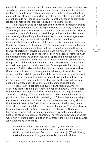constitution were a mere artifact in this rather banal sense of "making," we would always feel tempted at any moment in our political deliberations to declare the constitution null and void, and we would be plunged back into a pre-political state of nature where no rules would retain their validity. A state that could not inspire us with a more durable sense of obligation to its basic constitutional procedures could not be a state at all.

This intuition goes at least part of the way toward explaining what Hegel may have meant. Still, this explanation is not entirely satisfactory. When Hegel tells us that the state should be seen as divine and exhalted above the sphere of all manufactured things he has is mind a far deeper and more significant insight into the nature of constitutional agreement. He means to say that we must regard the constitution not as an accidental but essential feature of the state (unlike, say, a particular law that is made by an act of legislature). But no essential feature of the state can be understood as something that was brought into being through the will of particular individuals at a discrete moment in time. If the state truly is "the march of God in the world," then its essential features must be justified before the court of reason or spirit, and it cannot suffice to report facts about their empirical origin. Hegel's point, in other words, is that political philosophy must concern itself primarily with questions of rational validity and not with questions of mere genesis. This is why he appears to find it irrelevant that the constitution has its origins in time. Social contract theorists, he suggests, are looking at the state in the wrong way: they wish to ground its validity with reference to facts about its origin rather than exploring its intrinsically rational structure. It is in this sense that Hegel wants to say that constitutions are divine and should be exalted above the sphere of all manufactured things.

Hegel's claim is nonetheless puzzling and raises a number of questions. Before raising any further objections however, I wish to note that it contrasts rather sharply with what is known as the principle of "maker's knowledge." This principle asserts that because the human or political world was made by human beings, it follows that human beings can know it; or, more accurately, they can rediscover everything about it that they put there in the first place. In this respect the humanly-made world should be distinguished from the world of nature. The natural world, because it was made by God, can only be fully known by God alone. The human world was made by human beings, so we are the ones who can best understand its essential character. The maker's knowledge principle was given its canonical formulation by Giambattista Vico in his *La Scienza Nuova*, where he writes that

this civil world has certainly been made by men. Hence, these principles can be discovered, because they must be discovered, within the modifications of our own human mind. [...] The following must induce wonder in anyone who reflects upon it: all the

R I T  $\mathbf{I}$ Q U E /

C R  $\mathbf{I}$ S I S & C

Volume 8 Issue 2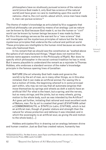philosophers have so studiously pursued science of the natural world (since God made it, only God has science of the natural world) and have given no care to meditating upon this world of nations—that is, the civil world—about which, since men have made it, men can pursue science.<sup>10</sup>

The theme of maker's knowledge as articulated by Vico suggests that political philosophy can proceed by means of an analogy: just as nature can be known by God because God made it, so too the human or "civil" world can be known by human beings because it was made by them. For Vico this analogy serves as the warrant for a "new science" that will investigate not the mysterious principles of nature but the far less mysterious principles that underwrite the cultural and political world. These principles are intelligible to the human mind because we were the ones who fashioned them.

In his remark that we should see the constitution as "exalted above the sphere of all manufactured things," Hegel does not mention Vico (whose name appears nowhere in the *Philosophy of Right*). Nor does he specify which philosopher in the social contract tradition he has in mind. But it seems plausible to understand the remark as a rejoinder to Thomas Hobbes, who endorses a standard version of the maker's knowledge principle in the famous opening lines of *Leviathan*:

NATURE (the art whereby God hath made and governs the world) is by the art of man, as in many other things, so in this also imitated, that it can make an artificial animal. For seeing life is but a motion of limbs, the beginning whereof is in some principal part within, why may we not say that all automata (engines that move themselves by springs and wheels as doth a watch) have an artificial life? For what is the heart, but a spring; and the nerves, but so many strings; and the joints, but so many wheels, giving motion to the whole body, such as was intended by the Artificer? Art goes yet further, imitating that rational and most excellent work of Nature, man. For by art is created that great LEVIATHAN called a COMMONWEALTH, or STATE (in Latin, CIVITAS), which is but an artificial man, though of greater stature and strength than the natural for whose protection and defense it was intended; and in which the sovereignty is an artificial soul, as giving life and motion to the whole body [...]

Hobbes anticipates Vico in drawing out an analogy between divine and human creation. Just as God has created nature, humanity has

"Beyond the Sphere of All Manufactured Things"...

I S & C R I T  $\mathbf{I}$ Q U E / Volume 8

C R I S

Issue 2

<sup>10</sup> Giambattista Vico, *The New Science*, Jason Taylor and Robert Miner, eds and trans. (New Haven: Yale University Press, 2020); quote from §331.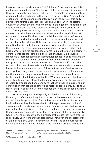likewise created the state as an "artificial man." Hobbes pursues this analogy as far as it can go.<sup>11</sup> He lists all of the various constituent parts of the state (magistrates, and so forth) which resemble the various natural organs of the human being as these were created by God. Among these organs are "the pacts and covenants, by which the parts of this body politic were at first made, set together, and united." Even the original covenant by which the state was founded is analogous to "that fiat, or the Let us make man, [that was] pronounced by God in the Creation."<sup>12</sup>

Although Hobbes was by no means the first theorist in the social contract tradition he nonetheless provides us with a helpful illustration of its basic themes. For the contractualist the state is *non-natural*, an artifact that is willed into being against the background of natural and non-artifactual conditions. Hobbes describes the state of nature as a condition that is wholly lacking in normative orientation. Incidentally, this is one of the major points of disagreement between Hobbes and Locke, who, unlike his predecessor, wants to insist that certain normative commitments are still binding in the state of nature. Unlike Locke, Hobbes is a thoroughgoing non-normativist about pre-political humanity: there are no rules for human conduct other than the rule of absolute self-preservation that inheres in the state of nature itself. In all other respects the state of nature is one that lacks all standards or measure: it even lacks a common standard of time. In the state of nature we are portrayed as purely atomistic and violent creatures who look upon one another as mere competitors for life and feel unconstrained by any further bonds of solidarity or obligation. Whether this state of nature ever actually obtained is irrelevant to Hobbes' argument. The state of nature is logically presupposed once one says that Leviathan is a purely human construction that grants us safety and moral obligation only by lifting us free of our pre-political existence. Hobbes therefore describes Leviathan as an "artificial man."

With this insight into the purely artificial character of the state, Hobbes joins Vico and a long line of thinkers who have endorsed the maker's knowledge principle. For Hobbes this principle has important implications for how he thinks about both the purposes and limits of sovereignty. In the state of nature human beings are overwhelmed with mortal fear for their lives; they therefore fashion Leviathan and surrender themselves to its absolute power for the purposes of their own security. Seen from one perspective, the authority of the state they have created is absolute. Seen from another perspective, however, the authority of the state is conditional upon its continuing to fulfill the basic purposes for which it was initially made. Insofar as citizens have created Leviathan

63

C R I T  $\mathbf{I}$ Q U E / Volume 8

Issue 2

C R I S I S &

<sup>11</sup> On Hobbes and maker's knowledge, see the superb discussion by Victoria Kahn "Hobbes and Maker's Knowledge" in her recent book, *The Trouble with Literature* (Oxford, 2020).

<sup>12 &</sup>quot;Introduction" in Hobbes, *Leviathan*, 9-10.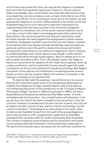only for their own protection, they can rescind the compact if Leviathan does not fulfill this essential requirement. Implicit in the principle of maker's knowledge, then, is the further principle that what humans have once made they can also remake or even *unmake*. And what is true of the state is true *a fortiori* of its constitution: since we are its authors, we also possess the capacity to re-write it. What seemed to be merely a principle of epistemology turns out to have some important implications for understanding both the nature and the limits of political obligation.

Hegel is a relentless critic of the social contract tradition, but he is no less critical of the maker's knowledge principle that underwrites that tradition. He cannot accept the view that any constitution could be simply brought into being against the background of merely natural conditions. He appeals instead to *spirit* as the prior and higher condition of normativity that must always precede and thereby make possible any particular political event. By spirit he means the rational and holistic principle that underwrites all our political arrangements. Spirit, however, is something deeper than human agency even though it works toward its self-actualization through human agency. Spirit is always prior to our self-created normative orders. This is the deeper reason why Hegel a) rejects as nonsensical the question of who might have *originally* drawn up a state constitution, and b) insists that citizens should regard the state constitution as divine and as beyond all manufactured things. But Hegel's conception of the state as non-artifactual or exceeding human powers leaves us with a serious question: What role remains to humanity in the making or unmaking of our political life?

To shed further light this question, I would like to turn to a social theorist who inherited a great many of his foundational philosophical insights from Hegel but strongly resisted Hegel's idea of the state as non-artifactual and divine. In the Introduction to the "Critique of Hegel's *Philosophy of Right*" (written in 1843 and published in 1944 in the Parisbased *Deutsche-Französische Jahrbücher*) Karl Marx wrote: "It is the immediate task of *philosophy* [...] to unmask human self-alienation in its *secular form* now that it has been unmasked in its *sacred form*. Thus the criticism of heaven is transformed into the criticism of earth, the *criticism of religion* into the *criticism of law*, and the *criticism of theology* into the *criticism of politics*."13 Composed at an early phase in his career when he had not yet liberated himself from the spell of the young-Hegelians, these lines provide us with a programmatic statement of what Marx considered the necessary path for modern philosophy after Feuerbach. The critique of religious consciousness and its dissolution into human consciousness that was Feuerbach's chief achievement (especially in *The Spirit of Christianity*) was a necessary but not sufficient condition for

64

S & C R I T I Q U E / Volume 8

Issue 2

C R I S I

<sup>13</sup> Karl Marx, "Introduction" to "Contribution to the Critique of Hegel's *Philosophy of Right*" in *The Marx-Engels Reader.* Robert C. Tucker, ed. (Norton): 53-65, quote from 54.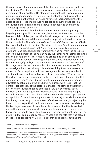the realization of human freedom. A further step was required: political institutions, Marx believed, were now to be unmasked as the alienated expression of material life. No elements in social reality would remain immune to philosophical criticism or political action and eventually "all the conditions of human life" would have to be reorganized under the aegis of social freedom. It could no longer be assumed that political institutions are "external to man"; it was necessary to see them as "*created by human society*."14

Marx never resolved his fundamental ambivalence regarding Hegel's philosophy. On the one hand, he embraced the dialectic as the key to social criticism; on the other hand, he rejected the conception of spirit that had furnished the metaphysical support for Hegel's system. In the preface to his *Contribution to the Critique of Political Economy* (1859) Marx recalls that in his earlier 1844 critique of Hegel's political philosophy he reached the conclusion that "legal relations as well as forms of state are to be grasped neither from themselves nor from the so-called general development of the human mind, but rather have their roots in the material conditions of life."15 Hegel, he grants, had been among the first philosophers to recognize the significance of these material conditions. In the *Philosophy of Right* they appear under the name of "civil society." But Hegel saw civil society as subordinate to the state, whereas Marx now assigns them the primary role in determining the state's essential character. *Pace* Hegel, our political arrangements are not grounded in spirit and they cannot be understood "from themselves." They express the wholly non-metaphysical and material conditions of society itself. In considering Hegel's contribution to political philosophy Marx reaches a twofold conclusion: on the one hand, he agrees with Hegel that the contractualist theory of the state is mistaken: the state is a thoroughly historical institution that has emerged gradually over time. Social contract theorists are guilty of "Robinsonades," stories that imagine our political and social world if it had been erected *ex nihilo* upon purely non-political foundations in a pure state of nature just as God once called into being the entirety of nature itself. On the other hand, in rejecting the illusion of a pre-political condition Marx strives for greater consistency. Unlike Hegel he refuses to see the state as something that is exalted above the humanly-made world. Marx therefore endorses the maker's knowledge principle even while he rejects the contractualist theory of the state.16 In Marx's philosophy "society" assumes the role that was played in Hegel's philosophy by "Geist." To say that political institutions are

14 Marx, "Introduction," 64, my emphasis.

15 Marx, "Preface" to *Contribution to the Critique of Political Economy* (1859), in Tucker, 4.

16 On the comparison between Vico and Marx regarding the principle of maker's knowledge, see Terence Ball, "Vico and Marx on 'Making' History" in his *Reappraising Political Theory: Revisionist Studies in the History of Political Thought* (Oxford)

C R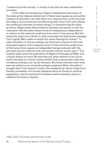"created by human society" is simply to say that *we have created them ourselves.*

From a Marxist perspective, Hegel's metaphysical derivation of the state as the highest embodiment of *Geist* must appear as yet another instance of alienation. Its chief effect is to obscure from us the fact that the state is not a divine but a worldly thing that is born from and reflects the conflictual interests of human beings. In characterizing the state as divine, Hegel masks these material interests and leaves us with the impression that the state enjoys a kind of metaphysical independence in relation to the material conditions from which it has sprung. But this makes the state into a fetish. In what is perhaps the best-known passage from *Capital*, Marx seeks to dispel this quasi-theological illusion: "In order, therefore, to find an analogy, we must have recourse to the mistenveloped regions of the religious world. In that world the productions of the human brain appear as independent beings endowed with life, and entering into relations with one another and the human race."17 Two hundred years since the publication of Hegel's *Philosophy of Right*, this critique retains its merit. No less than any other element of our social world, the state is a merely human artifact that is perennially made and remade according to our social interests. But these interests have never been as exalted or as universal as Hegel supposed. When the state is brought down from heaven to earth, the metaphysical claims of spirit are thereby unmasked; civil society displaces *Geist* as the key to political explanation, and the spectacle of endless warfare between states is robbed of its illusory majesty.

C R  $\mathbf{I}$ S I S & C R I T  $\mathbf{I}$ Q U E / Volume 8 Issue 2

<sup>17</sup> Marx, *Capital,* Volume One; quote from Tucker, ed. 321.